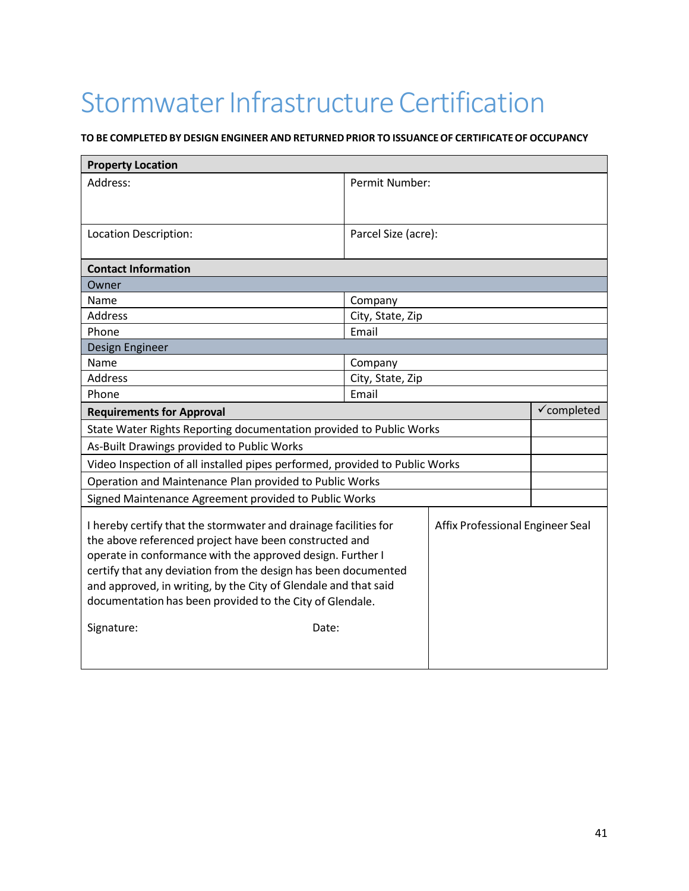## Stormwater Infrastructure Certification

## **TO BE COMPLETEDBY DESIGN ENGINEER AND RETURNED PRIOR TO ISSUANCEOF CERTIFICATEOF OCCUPANCY**

| <b>Property Location</b>                                                                                                                                                                                                                                                                                                                                                                                         |                                  |                        |  |
|------------------------------------------------------------------------------------------------------------------------------------------------------------------------------------------------------------------------------------------------------------------------------------------------------------------------------------------------------------------------------------------------------------------|----------------------------------|------------------------|--|
| Address:                                                                                                                                                                                                                                                                                                                                                                                                         | Permit Number:                   |                        |  |
|                                                                                                                                                                                                                                                                                                                                                                                                                  |                                  |                        |  |
|                                                                                                                                                                                                                                                                                                                                                                                                                  |                                  |                        |  |
| Location Description:                                                                                                                                                                                                                                                                                                                                                                                            | Parcel Size (acre):              |                        |  |
|                                                                                                                                                                                                                                                                                                                                                                                                                  |                                  |                        |  |
| <b>Contact Information</b>                                                                                                                                                                                                                                                                                                                                                                                       |                                  |                        |  |
| Owner                                                                                                                                                                                                                                                                                                                                                                                                            |                                  |                        |  |
| Name                                                                                                                                                                                                                                                                                                                                                                                                             | Company                          |                        |  |
| <b>Address</b>                                                                                                                                                                                                                                                                                                                                                                                                   | City, State, Zip                 |                        |  |
| Phone                                                                                                                                                                                                                                                                                                                                                                                                            | Email                            |                        |  |
| Design Engineer                                                                                                                                                                                                                                                                                                                                                                                                  |                                  |                        |  |
| Name                                                                                                                                                                                                                                                                                                                                                                                                             | Company                          |                        |  |
| <b>Address</b>                                                                                                                                                                                                                                                                                                                                                                                                   | City, State, Zip                 |                        |  |
| Phone                                                                                                                                                                                                                                                                                                                                                                                                            | Email                            |                        |  |
| <b>Requirements for Approval</b>                                                                                                                                                                                                                                                                                                                                                                                 |                                  | $\checkmark$ completed |  |
| State Water Rights Reporting documentation provided to Public Works                                                                                                                                                                                                                                                                                                                                              |                                  |                        |  |
| As-Built Drawings provided to Public Works                                                                                                                                                                                                                                                                                                                                                                       |                                  |                        |  |
| Video Inspection of all installed pipes performed, provided to Public Works                                                                                                                                                                                                                                                                                                                                      |                                  |                        |  |
| Operation and Maintenance Plan provided to Public Works                                                                                                                                                                                                                                                                                                                                                          |                                  |                        |  |
| Signed Maintenance Agreement provided to Public Works                                                                                                                                                                                                                                                                                                                                                            |                                  |                        |  |
| I hereby certify that the stormwater and drainage facilities for<br>the above referenced project have been constructed and<br>operate in conformance with the approved design. Further I<br>certify that any deviation from the design has been documented<br>and approved, in writing, by the City of Glendale and that said<br>documentation has been provided to the City of Glendale.<br>Signature:<br>Date: | Affix Professional Engineer Seal |                        |  |
|                                                                                                                                                                                                                                                                                                                                                                                                                  |                                  |                        |  |